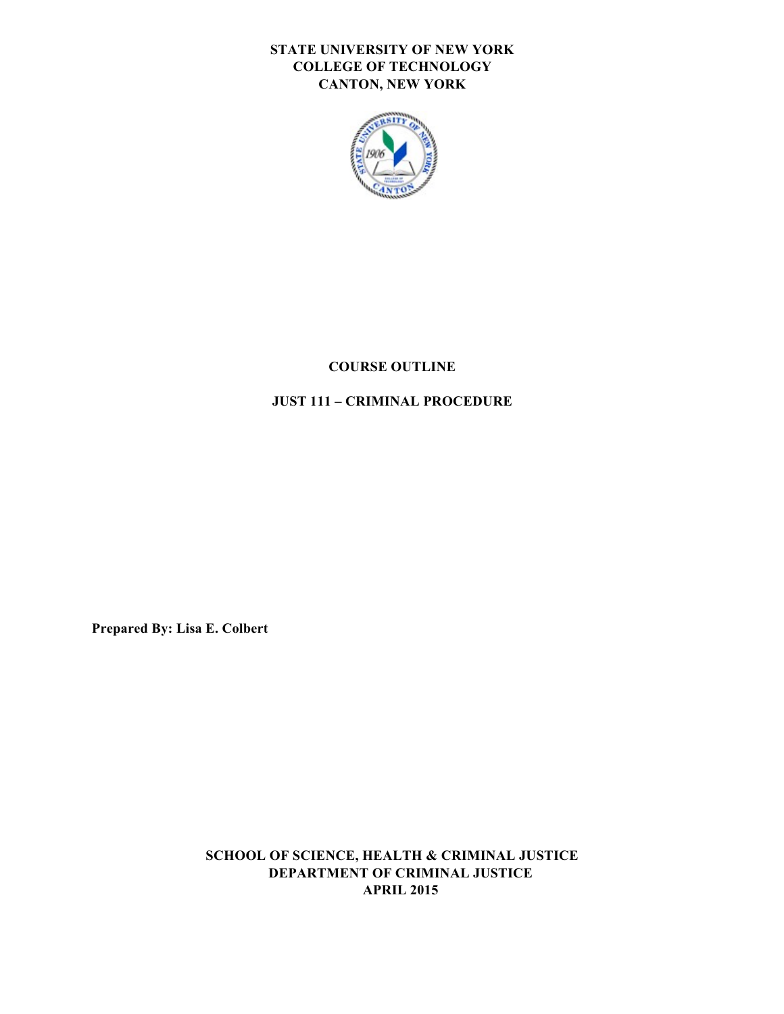## **STATE UNIVERSITY OF NEW YORK COLLEGE OF TECHNOLOGY CANTON, NEW YORK**



# **COURSE OUTLINE**

# **JUST 111 – CRIMINAL PROCEDURE**

 **Prepared By: Lisa E. Colbert** 

 **SCHOOL OF SCIENCE, HEALTH & CRIMINAL JUSTICE DEPARTMENT OF CRIMINAL JUSTICE APRIL 2015**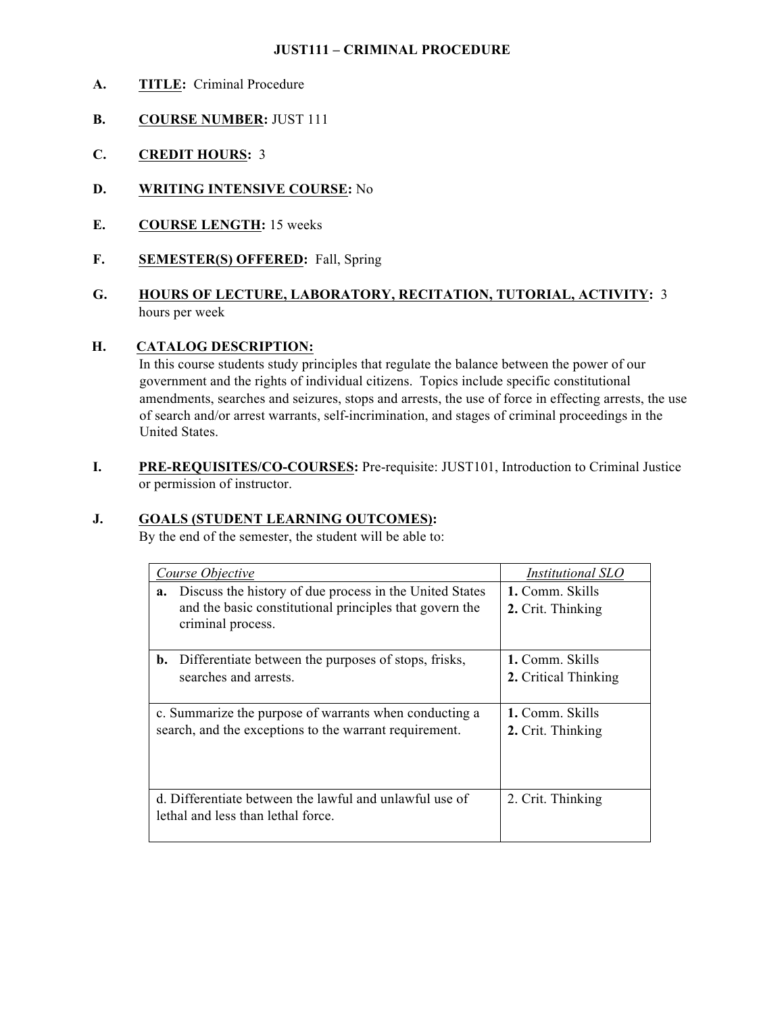### **JUST111 – CRIMINAL PROCEDURE**

- **A. TITLE:** Criminal Procedure
- **B. COURSE NUMBER:** JUST 111
- **C. CREDIT HOURS:** 3
- **D. WRITING INTENSIVE COURSE:** No
- **E. COURSE LENGTH:** 15 weeks
- **F. SEMESTER(S) OFFERED:** Fall, Spring
- **G. HOURS OF LECTURE, LABORATORY, RECITATION, TUTORIAL, ACTIVITY:** 3 hours per week

### **H. CATALOG DESCRIPTION:**

 In this course students study principles that regulate the balance between the power of our government and the rights of individual citizens. Topics include specific constitutional amendments, searches and seizures, stops and arrests, the use of force in effecting arrests, the use of search and/or arrest warrants, self-incrimination, and stages of criminal proceedings in the United States.

 **I. PRE-REQUISITES/CO-COURSES:** Pre-requisite: JUST101, Introduction to Criminal Justice or permission of instructor.

### **J. GOALS (STUDENT LEARNING OUTCOMES):**

By the end of the semester, the student will be able to:

| Course Objective                                                                                                                              | <i>Institutional SLO</i>                |
|-----------------------------------------------------------------------------------------------------------------------------------------------|-----------------------------------------|
| Discuss the history of due process in the United States<br>a.<br>and the basic constitutional principles that govern the<br>criminal process. | 1. Comm. Skills<br>2. Crit. Thinking    |
| Differentiate between the purposes of stops, frisks,<br>b.<br>searches and arrests.                                                           | 1. Comm. Skills<br>2. Critical Thinking |
| c. Summarize the purpose of warrants when conducting a<br>search, and the exceptions to the warrant requirement.                              | 1. Comm. Skills<br>2. Crit. Thinking    |
| d. Differentiate between the lawful and unlawful use of<br>lethal and less than lethal force.                                                 | 2. Crit. Thinking                       |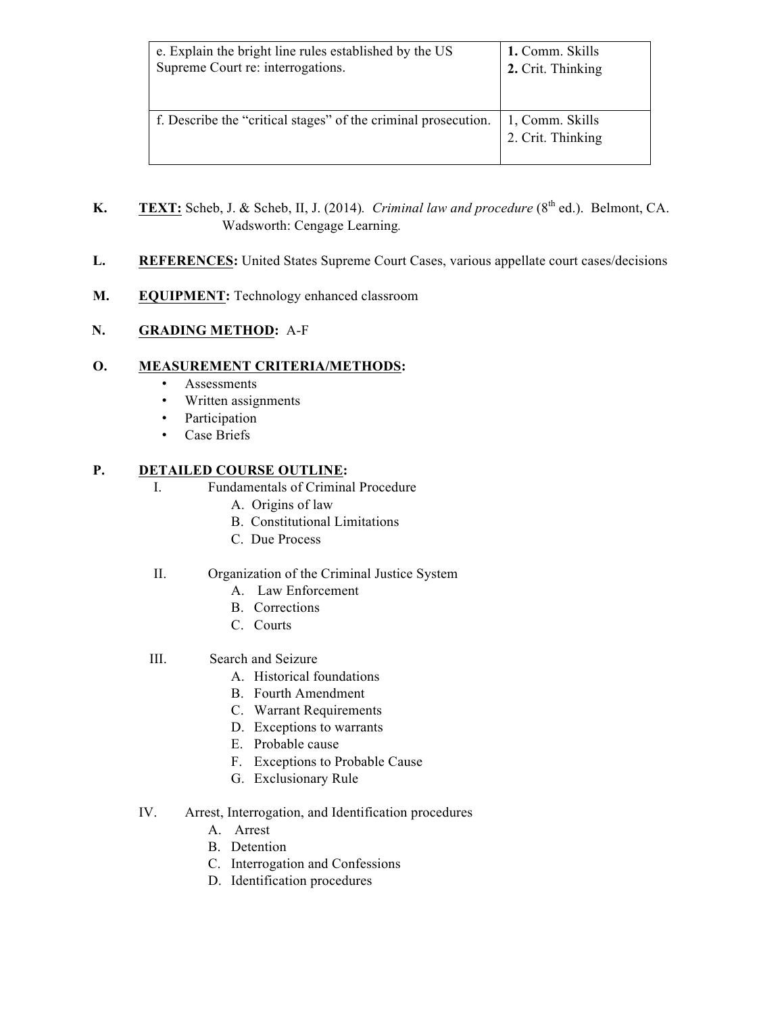| e. Explain the bright line rules established by the US         | 1. Comm. Skills                      |
|----------------------------------------------------------------|--------------------------------------|
| Supreme Court re: interrogations.                              | 2. Crit. Thinking                    |
| f. Describe the "critical stages" of the criminal prosecution. | 1, Comm. Skills<br>2. Crit. Thinking |

- **K. TEXT:** Scheb, J. & Scheb, II, J. (2014). *Criminal law and procedure* ( $8<sup>th</sup>$  ed.). Belmont, CA. Wadsworth: Cengage Learning*.*
- L. REFERENCES: United States Supreme Court Cases, various appellate court cases/decisions
- **M. EQUIPMENT:** Technology enhanced classroom

### **N. GRADING METHOD:** A-F

### **O. MEASUREMENT CRITERIA/METHODS:**

- Assessments
- Written assignments
- Participation
- Case Briefs

### **P. DETAILED COURSE OUTLINE:**

- $\mathbf{L}$ I. Fundamentals of Criminal Procedure
	- A. Origins of law
	- B. Constitutional Limitations
	- C. Due Process

### II. Organization of the Criminal Justice System

- A. Law Enforcement
- B. Corrections
- C. Courts
- III. Search and Seizure
	- A. Historical foundations
	- B. Fourth Amendment
	- C. Warrant Requirements
	- D. Exceptions to warrants
	- E. Probable cause
	- F. Exceptions to Probable Cause
	- G. Exclusionary Rule
- IV. Arrest, Interrogation, and Identification procedures
	- A. Arrest
	- B. Detention
	- C. Interrogation and Confessions
	- D. Identification procedures